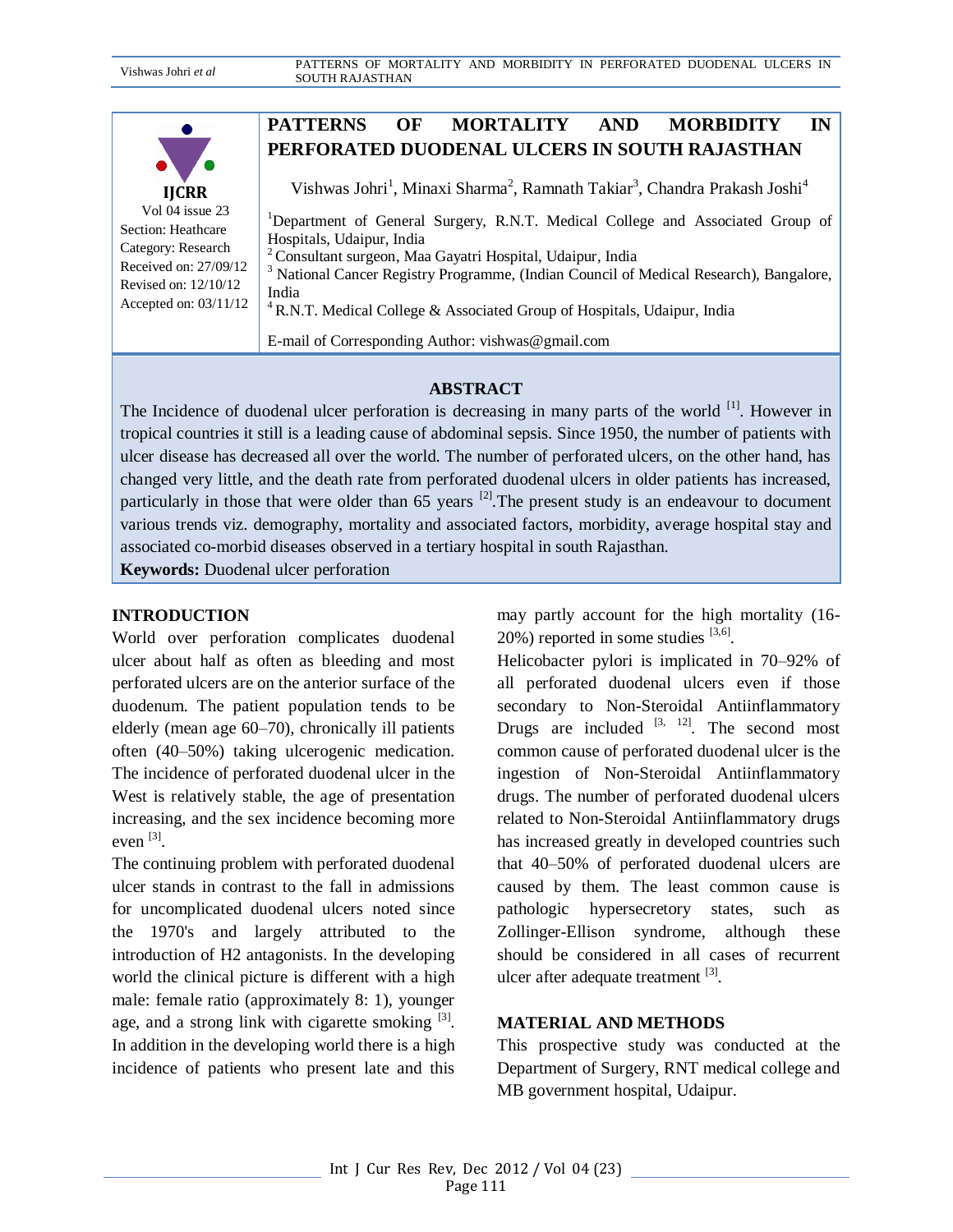

Vol 04 issue 23 Section: Heathcare Category: Research Received on: 27/09/12 Revised on: 12/10/12 Accepted on: 03/11/12

# **PATTERNS OF MORTALITY AND MORBIDITY IN PERFORATED DUODENAL ULCERS IN SOUTH RAJASTHAN**

Vishwas Johri<sup>1</sup>, Minaxi Sharma<sup>2</sup>, Ramnath Takiar<sup>3</sup>, Chandra Prakash Joshi<sup>4</sup>

<sup>1</sup>Department of General Surgery, R.N.T. Medical College and Associated Group of Hospitals, Udaipur, India

<sup>2</sup>Consultant surgeon, Maa Gayatri Hospital, Udaipur, India

<sup>3</sup> National Cancer Registry Programme, (Indian Council of Medical Research), Bangalore, India

<sup>4</sup> R.N.T. Medical College & Associated Group of Hospitals, Udaipur, India

E-mail of Corresponding Author: vishwas@gmail.com

## **ABSTRACT**

The Incidence of duodenal ulcer perforation is decreasing in many parts of the world <sup>[1]</sup>. However in tropical countries it still is a leading cause of abdominal sepsis. Since 1950, the number of patients with ulcer disease has decreased all over the world. The number of perforated ulcers, on the other hand, has changed very little, and the death rate from perforated duodenal ulcers in older patients has increased, particularly in those that were older than  $65$  years <sup>[2]</sup>. The present study is an endeavour to document various trends viz. demography, mortality and associated factors, morbidity, average hospital stay and associated co-morbid diseases observed in a tertiary hospital in south Rajasthan.

**Keywords:** Duodenal ulcer perforation

### **INTRODUCTION**

World over perforation complicates duodenal ulcer about half as often as bleeding and most perforated ulcers are on the anterior surface of the duodenum. The patient population tends to be elderly (mean age 60–70), chronically ill patients often (40–50%) taking ulcerogenic medication. The incidence of perforated duodenal ulcer in the West is relatively stable, the age of presentation increasing, and the sex incidence becoming more even [3].

The continuing problem with perforated duodenal ulcer stands in contrast to the fall in admissions for uncomplicated duodenal ulcers noted since the 1970's and largely attributed to the introduction of H2 antagonists. In the developing world the clinical picture is different with a high male: female ratio (approximately 8: 1), younger age, and a strong link with cigarette smoking <sup>[3]</sup>. In addition in the developing world there is a high incidence of patients who present late and this

may partly account for the high mortality (16-  $20\%$ ) reported in some studies  $^{[3,6]}$ .

Helicobacter pylori is implicated in 70–92% of all perforated duodenal ulcers even if those secondary to Non-Steroidal Antiinflammatory Drugs are included  $[3, 12]$ . The second most common cause of perforated duodenal ulcer is the ingestion of Non-Steroidal Antiinflammatory drugs. The number of perforated duodenal ulcers related to Non-Steroidal Antiinflammatory drugs has increased greatly in developed countries such that 40–50% of perforated duodenal ulcers are caused by them. The least common cause is pathologic hypersecretory states, such as Zollinger-Ellison syndrome, although these should be considered in all cases of recurrent ulcer after adequate treatment [3].

## **MATERIAL AND METHODS**

This prospective study was conducted at the Department of Surgery, RNT medical college and MB government hospital, Udaipur.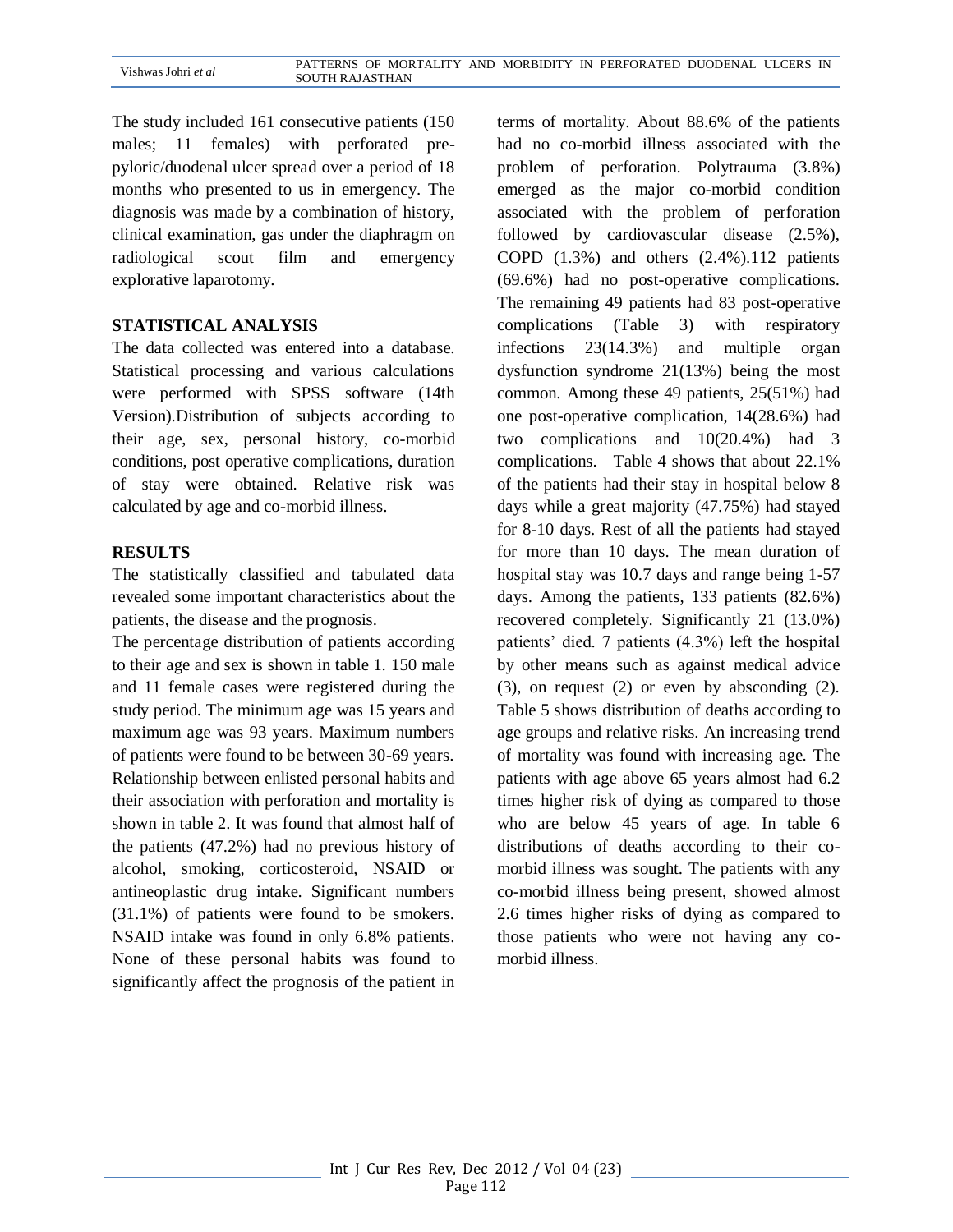| Vishwas Johri et al |                        | PATTERNS OF MORTALITY AND MORBIDITY IN PERFORATED DUODENAL ULCERS IN |  |  |  |  |
|---------------------|------------------------|----------------------------------------------------------------------|--|--|--|--|
|                     | <b>SOUTH RAJASTHAN</b> |                                                                      |  |  |  |  |

The study included 161 consecutive patients (150 males; 11 females) with perforated prepyloric/duodenal ulcer spread over a period of 18 months who presented to us in emergency. The diagnosis was made by a combination of history, clinical examination, gas under the diaphragm on radiological scout film and emergency explorative laparotomy.

#### **STATISTICAL ANALYSIS**

The data collected was entered into a database. Statistical processing and various calculations were performed with SPSS software (14th Version).Distribution of subjects according to their age, sex, personal history, co-morbid conditions, post operative complications, duration of stay were obtained. Relative risk was calculated by age and co-morbid illness.

#### **RESULTS**

The statistically classified and tabulated data revealed some important characteristics about the patients, the disease and the prognosis.

The percentage distribution of patients according to their age and sex is shown in table 1. 150 male and 11 female cases were registered during the study period. The minimum age was 15 years and maximum age was 93 years. Maximum numbers of patients were found to be between 30-69 years. Relationship between enlisted personal habits and their association with perforation and mortality is shown in table 2. It was found that almost half of the patients (47.2%) had no previous history of alcohol, smoking, corticosteroid, NSAID or antineoplastic drug intake. Significant numbers (31.1%) of patients were found to be smokers. NSAID intake was found in only 6.8% patients. None of these personal habits was found to significantly affect the prognosis of the patient in terms of mortality. About 88.6% of the patients had no co-morbid illness associated with the problem of perforation. Polytrauma (3.8%) emerged as the major co-morbid condition associated with the problem of perforation followed by cardiovascular disease (2.5%), COPD (1.3%) and others (2.4%).112 patients (69.6%) had no post-operative complications. The remaining 49 patients had 83 post-operative complications (Table 3) with respiratory infections 23(14.3%) and multiple organ dysfunction syndrome 21(13%) being the most common. Among these 49 patients, 25(51%) had one post-operative complication, 14(28.6%) had two complications and 10(20.4%) had 3 complications. Table 4 shows that about 22.1% of the patients had their stay in hospital below 8 days while a great majority (47.75%) had stayed for 8-10 days. Rest of all the patients had stayed for more than 10 days. The mean duration of hospital stay was 10.7 days and range being 1-57 days. Among the patients, 133 patients (82.6%) recovered completely. Significantly 21 (13.0%) patients' died. 7 patients (4.3%) left the hospital by other means such as against medical advice (3), on request (2) or even by absconding (2). Table 5 shows distribution of deaths according to age groups and relative risks. An increasing trend of mortality was found with increasing age. The patients with age above 65 years almost had 6.2 times higher risk of dying as compared to those who are below 45 years of age. In table 6 distributions of deaths according to their comorbid illness was sought. The patients with any co-morbid illness being present, showed almost 2.6 times higher risks of dying as compared to those patients who were not having any comorbid illness.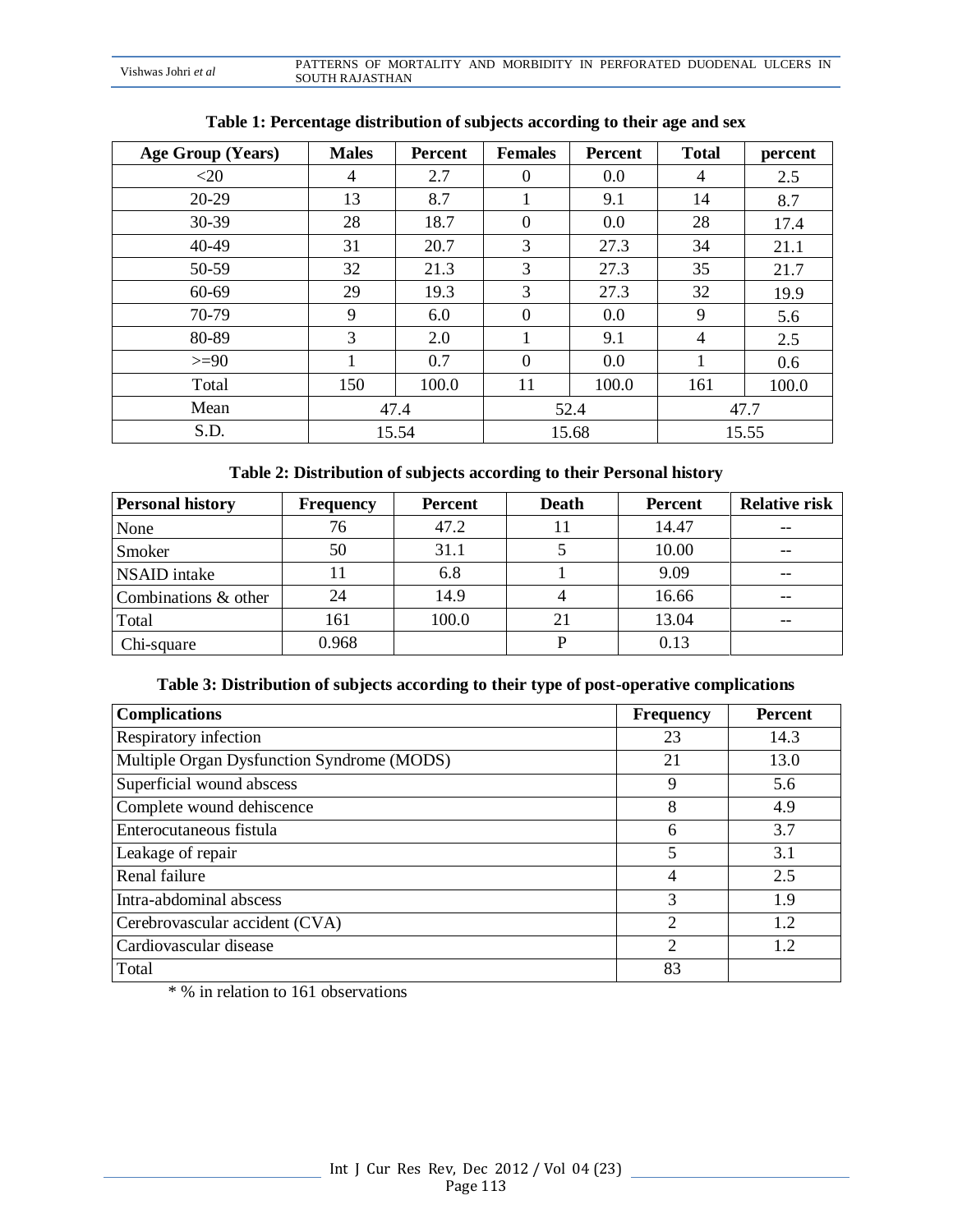| Vishwas Johri et al |                 | PATTERNS OF MORTALITY AND MORBIDITY IN PERFORATED DUODENAL ULCERS IN |  |  |  |
|---------------------|-----------------|----------------------------------------------------------------------|--|--|--|
|                     | SOUTH RAJASTHAN |                                                                      |  |  |  |

| Age Group (Years) | <b>Males</b> | <b>Percent</b> | <b>Females</b> | <b>Percent</b> | <b>Total</b>   | percent |
|-------------------|--------------|----------------|----------------|----------------|----------------|---------|
| $<$ 20            | 4            | 2.7            | 0              | 0.0            | 4              | 2.5     |
| $20-29$           | 13           | 8.7            |                | 9.1            | 14             | 8.7     |
| 30-39             | 28           | 18.7           | 0              | 0.0            | 28             | 17.4    |
| 40-49             | 31           | 20.7           | 3              | 27.3           | 34             | 21.1    |
| 50-59             | 32           | 21.3           | 3              | 27.3           | 35             | 21.7    |
| 60-69             | 29           | 19.3           | 3              | 27.3           | 32             | 19.9    |
| 70-79             | 9            | 6.0            | $\theta$       | 0.0            | 9              | 5.6     |
| 80-89             | 3            | 2.0            |                | 9.1            | $\overline{4}$ | 2.5     |
| $>=90$            |              | 0.7            | 0              | 0.0            |                | 0.6     |
| Total             | 150          | 100.0          | 11             | 100.0          | 161            | 100.0   |
| Mean              |              | 47.4           | 52.4           |                | 47.7           |         |
| S.D.              |              | 15.54          | 15.68          |                | 15.55          |         |

## **Table 1: Percentage distribution of subjects according to their age and sex**

## **Table 2: Distribution of subjects according to their Personal history**

| <b>Personal history</b> | <b>Frequency</b> | <b>Percent</b> | <b>Death</b> | <b>Percent</b> | <b>Relative risk</b> |
|-------------------------|------------------|----------------|--------------|----------------|----------------------|
| None                    | 76               | 47.2           | Ħ            | 14.47          |                      |
| Smoker                  | 50               | 31.1           |              | 10.00          |                      |
| NSAID intake            |                  | 6.8            |              | 9.09           | $- -$                |
| Combinations & other    | 24               | 14.9           |              | 16.66          |                      |
| Total                   | 161              | 100.0          | 21           | 13.04          |                      |
| Chi-square              | 0.968            |                |              | 0.13           |                      |

### **Table 3: Distribution of subjects according to their type of post-operative complications**

| <b>Complications</b>                       | <b>Frequency</b> | <b>Percent</b> |
|--------------------------------------------|------------------|----------------|
| <b>Respiratory infection</b>               | 23               | 14.3           |
| Multiple Organ Dysfunction Syndrome (MODS) | 21               | 13.0           |
| Superficial wound abscess                  | 9                | 5.6            |
| Complete wound dehiscence                  | 8                | 4.9            |
| Enterocutaneous fistula                    | 6                | 3.7            |
| Leakage of repair                          | 5                | 3.1            |
| Renal failure                              | 4                | 2.5            |
| Intra-abdominal abscess                    | 3                | 1.9            |
| Cerebrovascular accident (CVA)             | $\overline{c}$   | 1.2            |
| Cardiovascular disease                     | $\overline{2}$   | 1.2            |
| Total                                      | 83               |                |

\* % in relation to 161 observations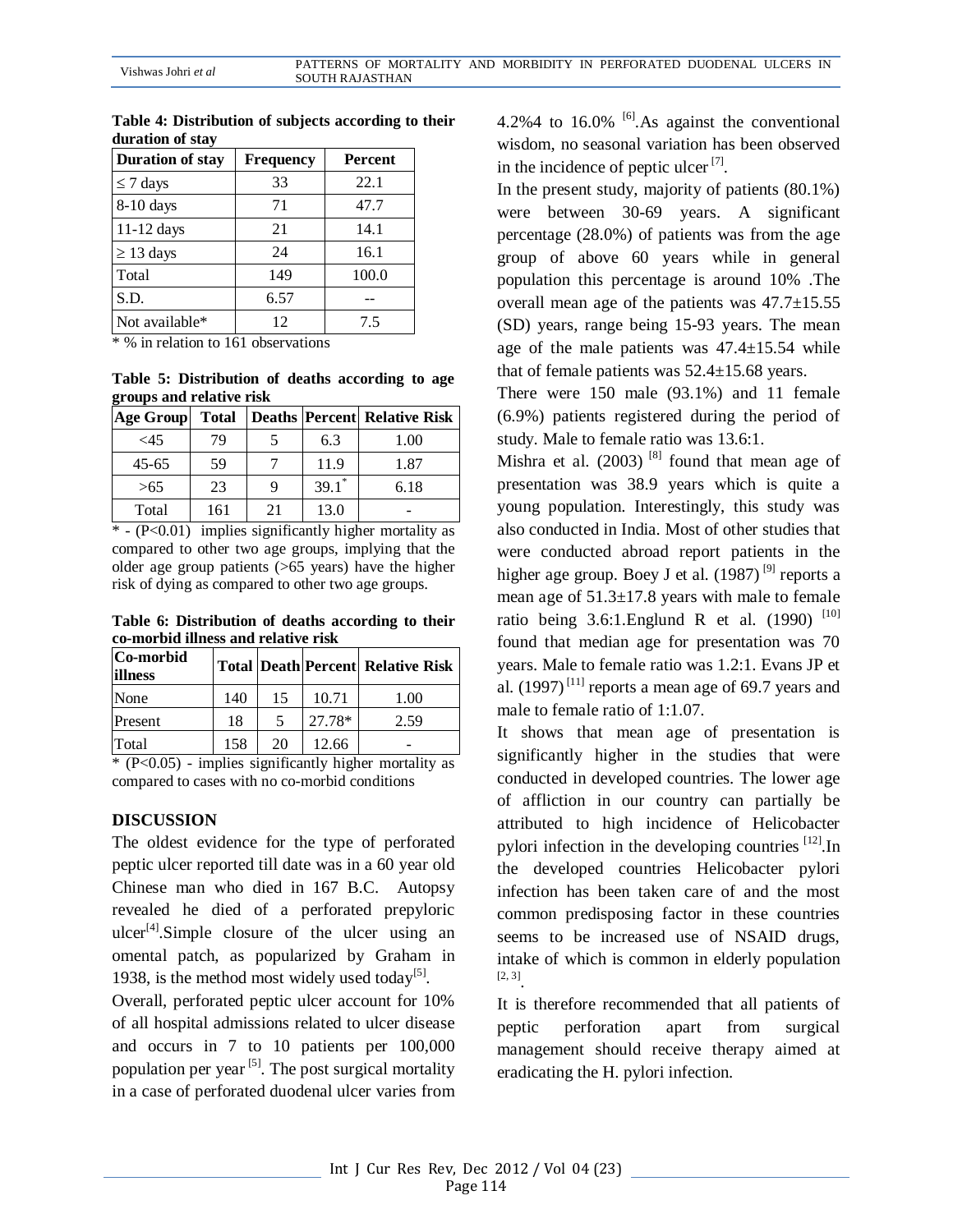| <b>Duration of stay</b> | <b>Frequency</b> | <b>Percent</b> |
|-------------------------|------------------|----------------|
| $\leq$ 7 days           | 33               | 22.1           |
| $8-10$ days             | 71               | 47.7           |
| $11-12$ days            | 21               | 14.1           |
| $\geq$ 13 days          | 24               | 16.1           |
| Total                   | 149              | 100.0          |
| S.D.                    | 6.57             |                |
| Not available*          | 12               | 7.5            |

**Table 4: Distribution of subjects according to their duration of stay**

 $*$  % in relation to 161 observations

**Table 5: Distribution of deaths according to age groups and relative risk**

| Age Group | <b>Total</b> |    |                     | Deaths Percent Relative Risk |
|-----------|--------------|----|---------------------|------------------------------|
| <45       | 79           |    | 6.3                 | 1.00                         |
| $45 - 65$ | 59           |    | 11.9                | 1.87                         |
| >65       | 23           |    | $39.1$ <sup>*</sup> | 6.18                         |
| Total     | 161          | 21 | 13.0                |                              |

 $*$  - (P<0.01) implies significantly higher mortality as compared to other two age groups, implying that the older age group patients (>65 years) have the higher risk of dying as compared to other two age groups.

**Table 6: Distribution of deaths according to their co-morbid illness and relative risk**

| Co-morbid<br>illness |     |    |        | <b>Total Death Percent Relative Risk</b> |
|----------------------|-----|----|--------|------------------------------------------|
| None                 | 140 | 15 | 10.71  | 1.00                                     |
| Present              | 18  |    | 27.78* | 2.59                                     |
| Total                | 158 | 20 | 12.66  |                                          |

\* (P<0.05) - implies significantly higher mortality as compared to cases with no co-morbid conditions

### **DISCUSSION**

The oldest evidence for the type of perforated peptic ulcer reported till date was in a 60 year old Chinese man who died in 167 B.C. Autopsy revealed he died of a perforated prepyloric ulcer<sup>[4]</sup>.Simple closure of the ulcer using an omental patch, as popularized by Graham in 1938, is the method most widely used today<sup>[5]</sup>.

Overall, perforated peptic ulcer account for 10% of all hospital admissions related to ulcer disease and occurs in 7 to 10 patients per 100,000 population per year  $[5]$ . The post surgical mortality in a case of perforated duodenal ulcer varies from 4.2%4 to  $16.0\%$  <sup>[6]</sup>. As against the conventional wisdom, no seasonal variation has been observed in the incidence of peptic ulcer  $[7]$ .

In the present study, majority of patients (80.1%) were between 30-69 years. A significant percentage (28.0%) of patients was from the age group of above 60 years while in general population this percentage is around 10% .The overall mean age of the patients was  $47.7 \pm 15.55$ (SD) years, range being 15-93 years. The mean age of the male patients was 47.4±15.54 while that of female patients was 52.4±15.68 years.

There were 150 male (93.1%) and 11 female (6.9%) patients registered during the period of study. Male to female ratio was 13.6:1.

Mishra et al.  $(2003)$ <sup>[8]</sup> found that mean age of presentation was 38.9 years which is quite a young population. Interestingly, this study was also conducted in India. Most of other studies that were conducted abroad report patients in the higher age group. Boey J et al.  $(1987)$ <sup>[9]</sup> reports a mean age of 51.3±17.8 years with male to female ratio being 3.6:1. Englund R et al.  $(1990)$ <sup>[10]</sup> found that median age for presentation was 70 years. Male to female ratio was 1.2:1. Evans JP et al.  $(1997)^{[11]}$  reports a mean age of 69.7 years and male to female ratio of 1:1.07.

It shows that mean age of presentation is significantly higher in the studies that were conducted in developed countries. The lower age of affliction in our country can partially be attributed to high incidence of Helicobacter pylori infection in the developing countries  $[12]$ . In the developed countries Helicobacter pylori infection has been taken care of and the most common predisposing factor in these countries seems to be increased use of NSAID drugs, intake of which is common in elderly population [2, 3] .

It is therefore recommended that all patients of peptic perforation apart from surgical management should receive therapy aimed at eradicating the H. pylori infection.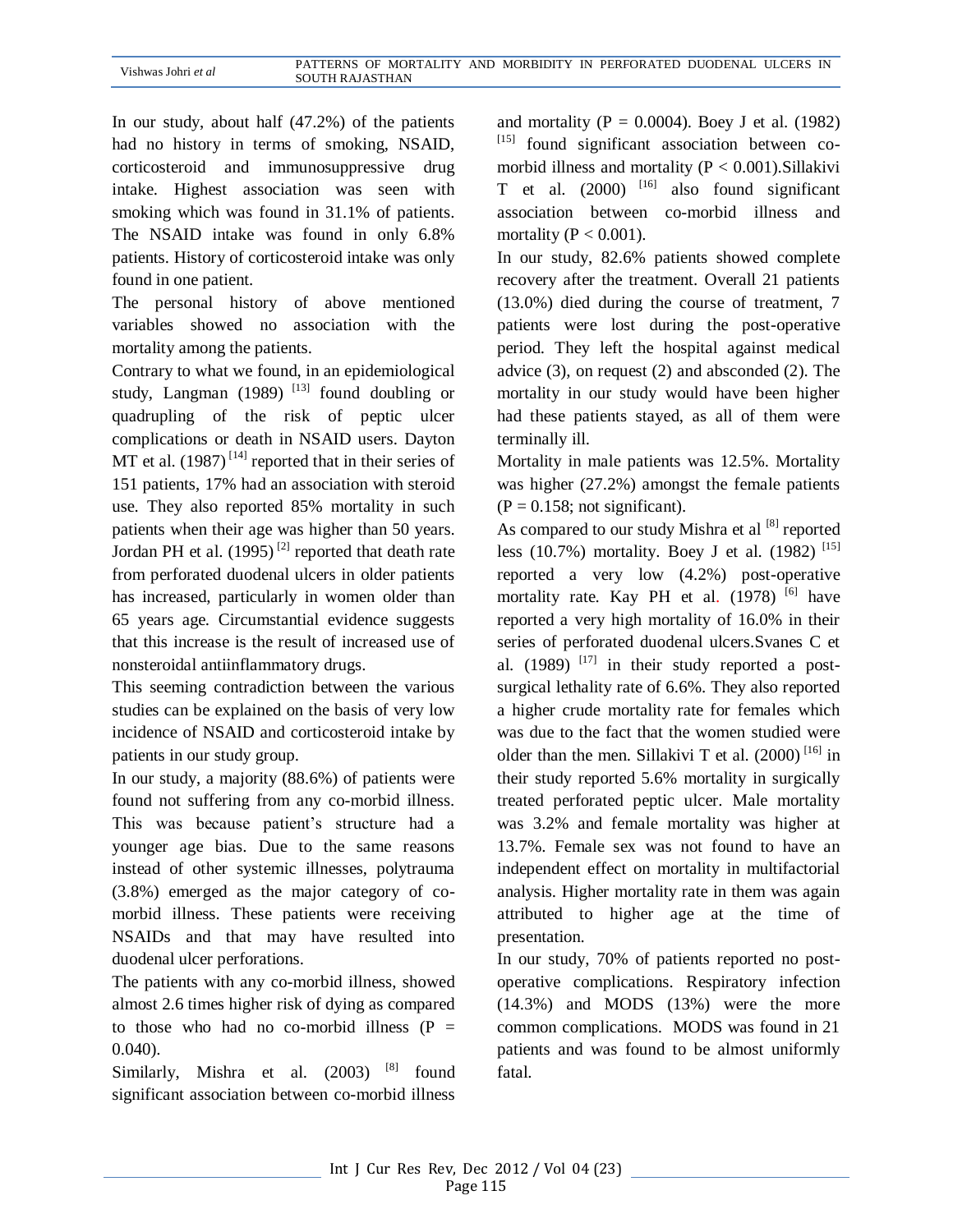In our study, about half (47.2%) of the patients had no history in terms of smoking, NSAID, corticosteroid and immunosuppressive drug intake. Highest association was seen with smoking which was found in 31.1% of patients. The NSAID intake was found in only 6.8% patients. History of corticosteroid intake was only found in one patient.

The personal history of above mentioned variables showed no association with the mortality among the patients.

Contrary to what we found, in an epidemiological study, Langman (1989)  $^{[13]}$  found doubling or quadrupling of the risk of peptic ulcer complications or death in NSAID users. Dayton MT et al.  $(1987)$ <sup>[14]</sup> reported that in their series of 151 patients, 17% had an association with steroid use. They also reported 85% mortality in such patients when their age was higher than 50 years. Jordan PH et al.  $(1995)^{2}$  reported that death rate from perforated duodenal ulcers in older patients has increased, particularly in women older than 65 years age. Circumstantial evidence suggests that this increase is the result of increased use of nonsteroidal antiinflammatory drugs.

This seeming contradiction between the various studies can be explained on the basis of very low incidence of NSAID and corticosteroid intake by patients in our study group.

In our study, a majority (88.6%) of patients were found not suffering from any co-morbid illness. This was because patient's structure had a younger age bias. Due to the same reasons instead of other systemic illnesses, polytrauma (3.8%) emerged as the major category of comorbid illness. These patients were receiving NSAIDs and that may have resulted into duodenal ulcer perforations.

The patients with any co-morbid illness, showed almost 2.6 times higher risk of dying as compared to those who had no co-morbid illness  $(P =$ 0.040).

Similarly, Mishra et al. (2003) <sup>[8]</sup> found significant association between co-morbid illness

and mortality ( $P = 0.0004$ ). Boey J et al. (1982) [15] found significant association between comorbid illness and mortality  $(P < 0.001)$ . Sillakivi T et al.  $(2000)$ <sup>[16]</sup> also found significant association between co-morbid illness and mortality ( $P < 0.001$ ).

In our study, 82.6% patients showed complete recovery after the treatment. Overall 21 patients (13.0%) died during the course of treatment, 7 patients were lost during the post-operative period. They left the hospital against medical advice (3), on request (2) and absconded (2). The mortality in our study would have been higher had these patients stayed, as all of them were terminally ill.

Mortality in male patients was 12.5%. Mortality was higher (27.2%) amongst the female patients  $(P = 0.158$ ; not significant).

As compared to our study Mishra et al  $[8]$  reported less (10.7%) mortality. Boey J et al. (1982)<sup>[15]</sup> reported a very low (4.2%) post-operative mortality rate. Kay PH et al.  $(1978)$ <sup>[6]</sup> have reported a very high mortality of 16.0% in their series of perforated duodenal ulcers.Svanes C et al. (1989)  $^{[17]}$  in their study reported a postsurgical lethality rate of 6.6%. They also reported a higher crude mortality rate for females which was due to the fact that the women studied were older than the men. Sillakivi T et al.  $(2000)$ <sup>[16]</sup> in their study reported 5.6% mortality in surgically treated perforated peptic ulcer. Male mortality was 3.2% and female mortality was higher at 13.7%. Female sex was not found to have an independent effect on mortality in multifactorial analysis. Higher mortality rate in them was again attributed to higher age at the time of presentation.

In our study, 70% of patients reported no postoperative complications. Respiratory infection (14.3%) and MODS (13%) were the more common complications. MODS was found in 21 patients and was found to be almost uniformly fatal.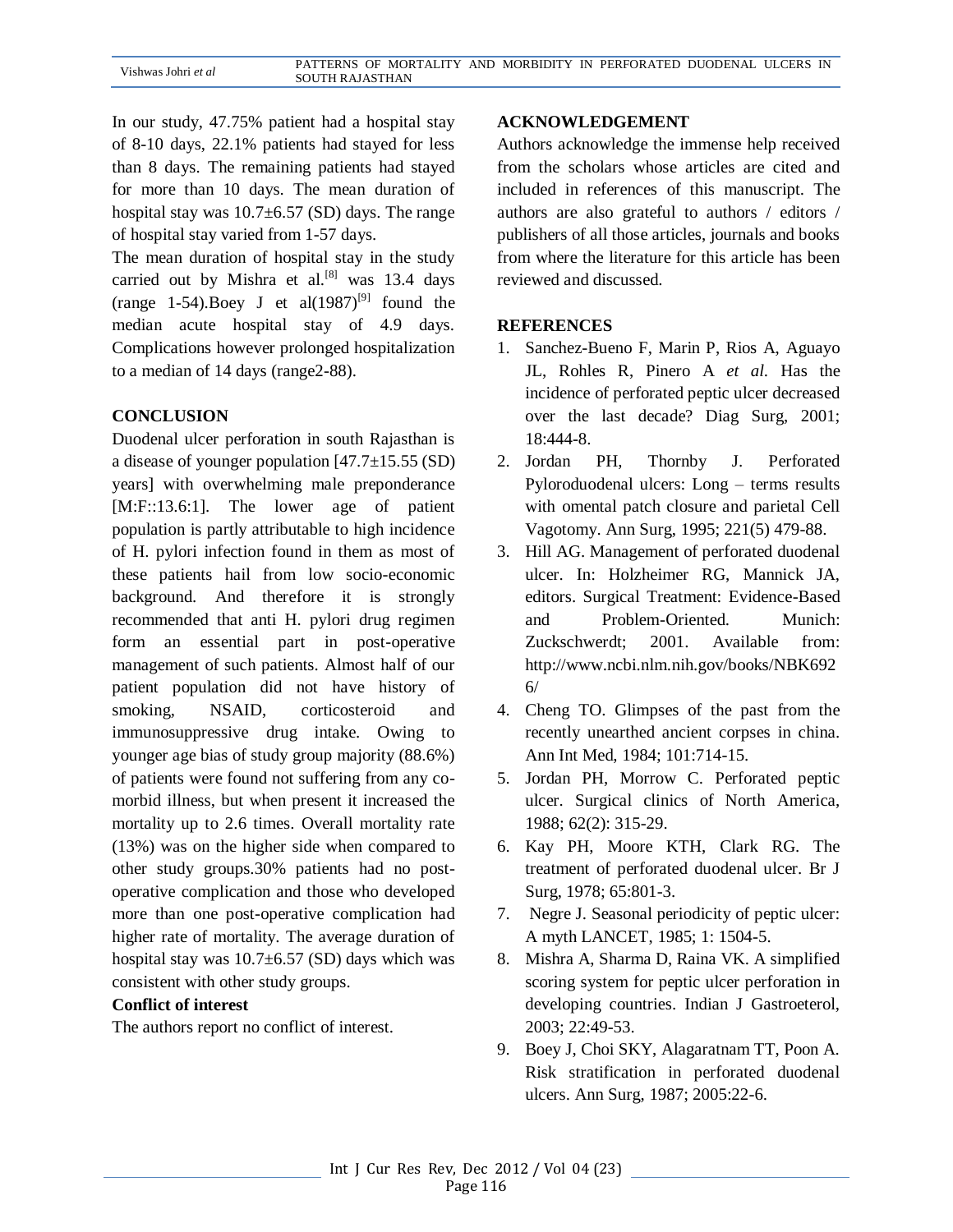In our study, 47.75% patient had a hospital stay of 8-10 days, 22.1% patients had stayed for less than 8 days. The remaining patients had stayed for more than 10 days. The mean duration of hospital stay was  $10.7\pm6.57$  (SD) days. The range of hospital stay varied from 1-57 days.

The mean duration of hospital stay in the study carried out by Mishra et al. $^{[8]}$  was 13.4 days (range 1-54). Boey J et al $(1987)^{9}$  found the median acute hospital stay of 4.9 days. Complications however prolonged hospitalization to a median of 14 days (range2-88).

### **CONCLUSION**

Duodenal ulcer perforation in south Rajasthan is a disease of younger population [47.7±15.55 (SD) years] with overwhelming male preponderance [M:F::13.6:1]. The lower age of patient population is partly attributable to high incidence of H. pylori infection found in them as most of these patients hail from low socio-economic background. And therefore it is strongly recommended that anti H. pylori drug regimen form an essential part in post-operative management of such patients. Almost half of our patient population did not have history of smoking, NSAID, corticosteroid and immunosuppressive drug intake. Owing to younger age bias of study group majority (88.6%) of patients were found not suffering from any comorbid illness, but when present it increased the mortality up to 2.6 times. Overall mortality rate (13%) was on the higher side when compared to other study groups.30% patients had no postoperative complication and those who developed more than one post-operative complication had higher rate of mortality. The average duration of hospital stay was  $10.7\pm6.57$  (SD) days which was consistent with other study groups.

### **Conflict of interest**

The authors report no conflict of interest.

#### **ACKNOWLEDGEMENT**

Authors acknowledge the immense help received from the scholars whose articles are cited and included in references of this manuscript. The authors are also grateful to authors / editors / publishers of all those articles, journals and books from where the literature for this article has been reviewed and discussed.

### **REFERENCES**

- 1. Sanchez-Bueno F, Marin P, Rios A, Aguayo JL, Rohles R, Pinero A *et al.* Has the incidence of perforated peptic ulcer decreased over the last decade? Diag Surg, 2001; 18:444-8.
- 2. Jordan PH, Thornby J. Perforated Pyloroduodenal ulcers: Long – terms results with omental patch closure and parietal Cell Vagotomy. Ann Surg, 1995; 221(5) 479-88.
- 3. Hill AG. Management of perforated duodenal ulcer. In: Holzheimer RG, Mannick JA, editors. Surgical Treatment: Evidence-Based and Problem-Oriented. Munich: Zuckschwerdt; 2001. Available from: http://www.ncbi.nlm.nih.gov/books/NBK692 6/
- 4. Cheng TO. Glimpses of the past from the recently unearthed ancient corpses in china. Ann Int Med, 1984; 101:714-15.
- 5. Jordan PH, Morrow C. Perforated peptic ulcer. Surgical clinics of North America, 1988; 62(2): 315-29.
- 6. Kay PH, Moore KTH, Clark RG. The treatment of perforated duodenal ulcer. Br J Surg, 1978; 65:801-3.
- 7. Negre J. Seasonal periodicity of peptic ulcer: A myth LANCET, 1985; 1: 1504-5.
- 8. Mishra A, Sharma D, Raina VK. A simplified scoring system for peptic ulcer perforation in developing countries. Indian J Gastroeterol, 2003; 22:49-53.
- 9. Boey J, Choi SKY, Alagaratnam TT, Poon A. Risk stratification in perforated duodenal ulcers. Ann Surg, 1987; 2005:22-6.